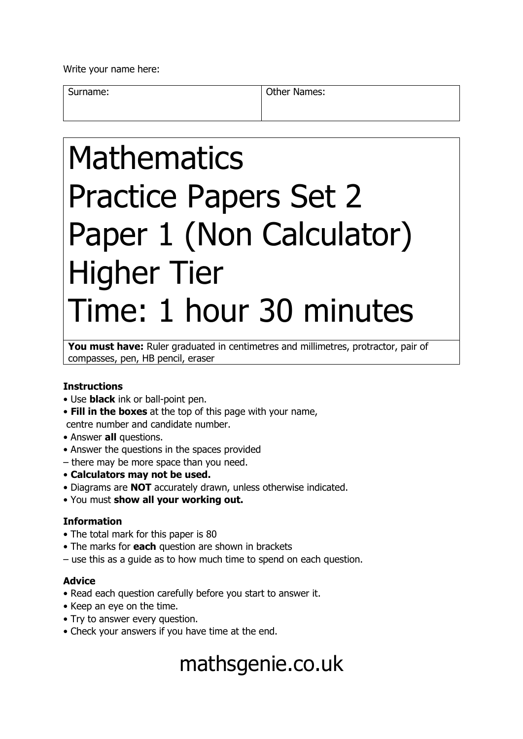Write your name here:

Surname: **Other Names: Other Names:** 

# Mathematics Practice Papers Set 2 Paper 1 (Non Calculator) Higher Tier Time: 1 hour 30 minutes

You must have: Ruler graduated in centimetres and millimetres, protractor, pair of compasses, pen, HB pencil, eraser

#### **Instructions**

- Use **black** ink or ball-point pen.
- **Fill in the boxes** at the top of this page with your name, centre number and candidate number.
- Answer **all** questions.
- Answer the questions in the spaces provided
- there may be more space than you need.
- **Calculators may not be used.**
- Diagrams are **NOT** accurately drawn, unless otherwise indicated.
- You must **show all your working out.**

#### **Information**

- The total mark for this paper is 80
- The marks for **each** question are shown in brackets
- use this as a guide as to how much time to spend on each question.

#### **Advice**

- Read each question carefully before you start to answer it.
- Keep an eye on the time.
- Try to answer every question.
- Check your answers if you have time at the end.

## mathsgenie.co.uk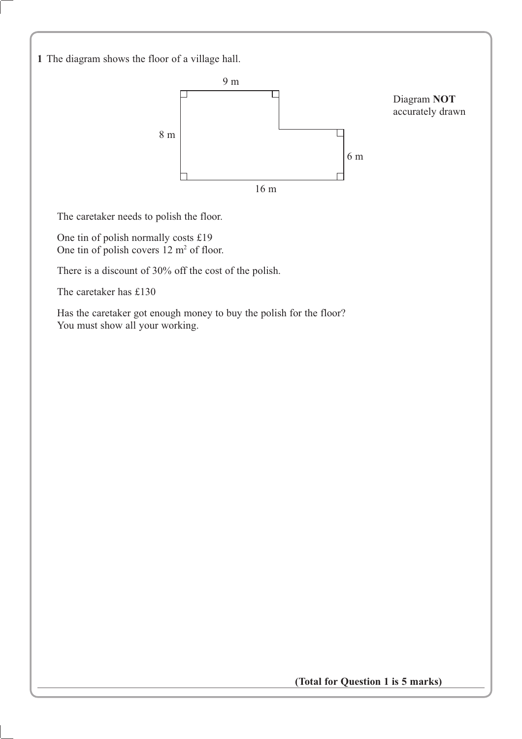**1** The diagram shows the floor of a village hall.



The caretaker needs to polish the floor.

One tin of polish normally costs £19 One tin of polish covers  $12 \text{ m}^2$  of floor.

There is a discount of 30% off the cost of the polish.

The caretaker has £130

Has the caretaker got enough money to buy the polish for the floor? You must show all your working.

**(Total for Question 1 is 5 marks)**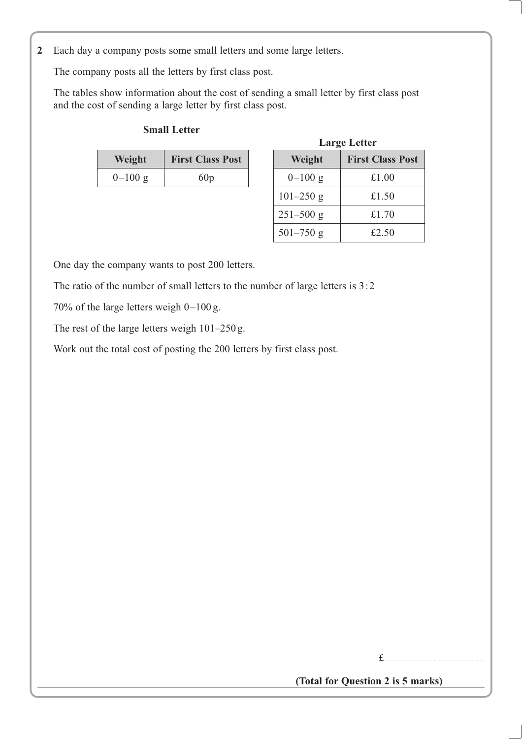**2** Each day a company posts some small letters and some large letters.

The company posts all the letters by first class post.

The tables show information about the cost of sending a small letter by first class post and the cost of sending a large letter by first class post.

#### **Small Letter**

| Weight    | <b>First Class Post</b> | Weight    | <b>First Class</b> |
|-----------|-------------------------|-----------|--------------------|
| $0-100 g$ | 60p                     | $0-100$ g | £1.00              |
|           |                         |           |                    |

|          |                         |               | <b>Large Letter</b>     |
|----------|-------------------------|---------------|-------------------------|
| Weight   | <b>First Class Post</b> | Weight        | <b>First Class Post</b> |
| $-100 g$ | 60p                     | $0-100$ g     | £1.00                   |
|          |                         | $101 - 250$ g | £1.50                   |
|          |                         | $251 - 500$ g | £1.70                   |
|          |                         | $501 - 750$ g | £2.50                   |

One day the company wants to post 200 letters.

The ratio of the number of small letters to the number of large letters is 3:2

70% of the large letters weigh 0–100 g.

The rest of the large letters weigh 101–250 g.

Work out the total cost of posting the 200 letters by first class post.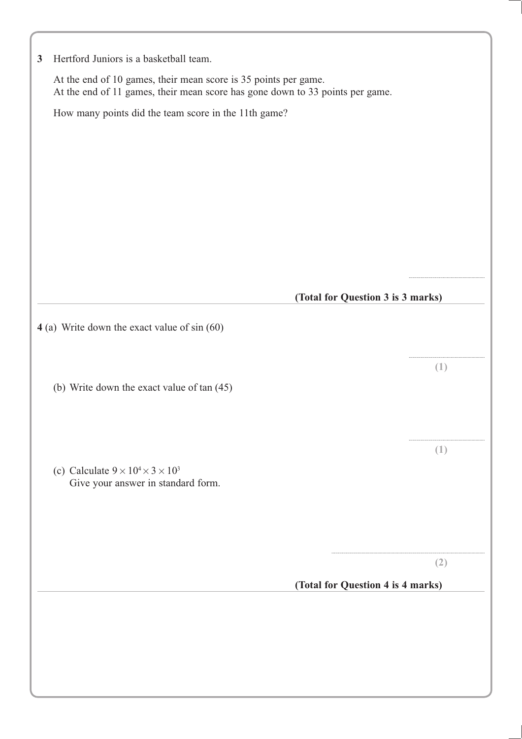| At the end of 10 games, their mean score is 35 points per game.               |          |
|-------------------------------------------------------------------------------|----------|
| At the end of 11 games, their mean score has gone down to 33 points per game. |          |
| How many points did the team score in the 11th game?                          |          |
|                                                                               |          |
|                                                                               |          |
|                                                                               |          |
|                                                                               |          |
|                                                                               |          |
|                                                                               |          |
|                                                                               |          |
|                                                                               |          |
| (Total for Question 3 is 3 marks)                                             |          |
| 4 (a) Write down the exact value of sin (60)                                  |          |
|                                                                               |          |
|                                                                               | $(\bot)$ |
| (b) Write down the exact value of tan (45)                                    |          |
|                                                                               |          |
|                                                                               |          |
|                                                                               |          |
|                                                                               | ( L )    |
| (c) Calculate $9 \times 10^4 \times 3 \times 10^3$                            |          |
| Give your answer in standard form.                                            |          |
|                                                                               |          |
|                                                                               |          |
|                                                                               | (2)      |
| (Total for Question 4 is 4 marks)                                             |          |
|                                                                               |          |
|                                                                               |          |
|                                                                               |          |
|                                                                               |          |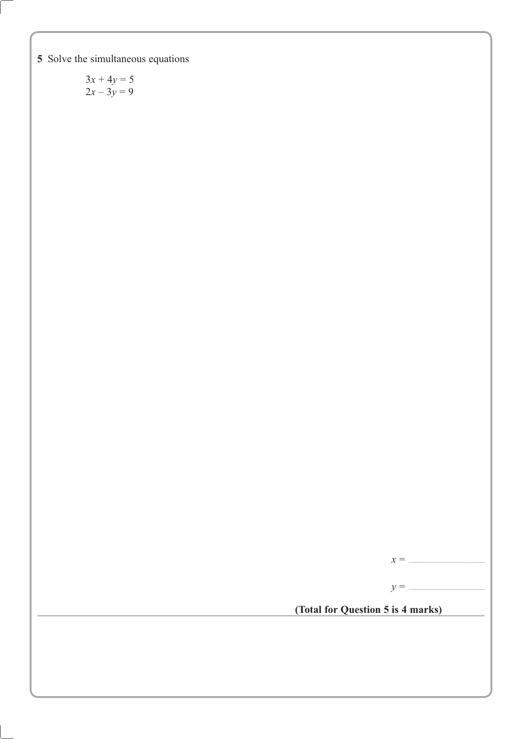**5** Solve the simultaneous equations

 $3x + 4y = 5$  $2x - 3y = 9$ 

*x* = . .........................................................

*y* = . .........................................................

**(Total for Question 5 is 4 marks)**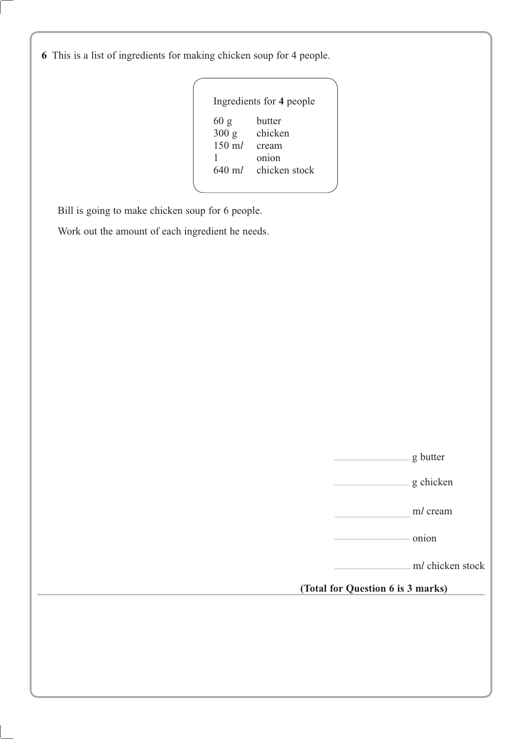**6** This is a list of ingredients for making chicken soup for 4 people.

| butter        |
|---------------|
|               |
| chicken       |
| cream         |
| onion         |
| chicken stock |
|               |

Bill is going to make chicken soup for 6 people.

Work out the amount of each ingredient he needs.

|  | er<br>nu |  |
|--|----------|--|
|  |          |  |

.......................................................... g chicken

| . | ml cream |  |
|---|----------|--|
|   |          |  |

.......................................................... onion

.......................................................... m chicken stock

**(Total for Question 6 is 3 marks)**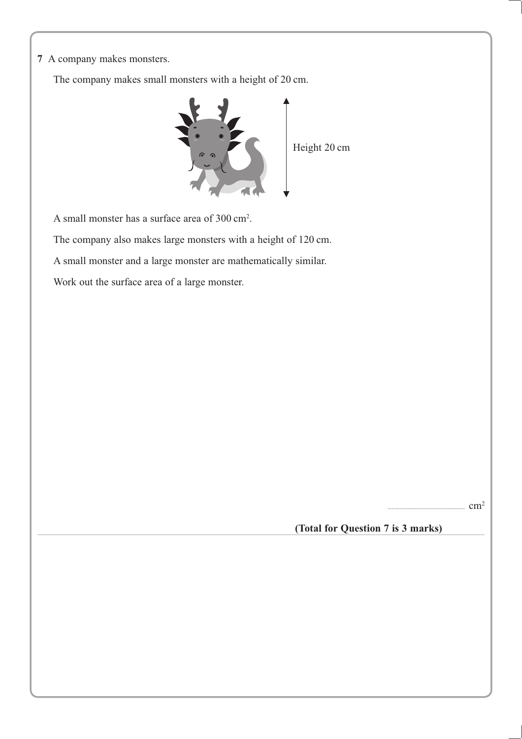**7** A company makes monsters.

The company makes small monsters with a height of 20 cm.



A small monster has a surface area of 300 cm<sup>2</sup>.

The company also makes large monsters with a height of 120 cm.

A small monster and a large monster are mathematically similar.

Work out the surface area of a large monster.

 $cm<sup>2</sup>$ 

**(Total for Question 7 is 3 marks)**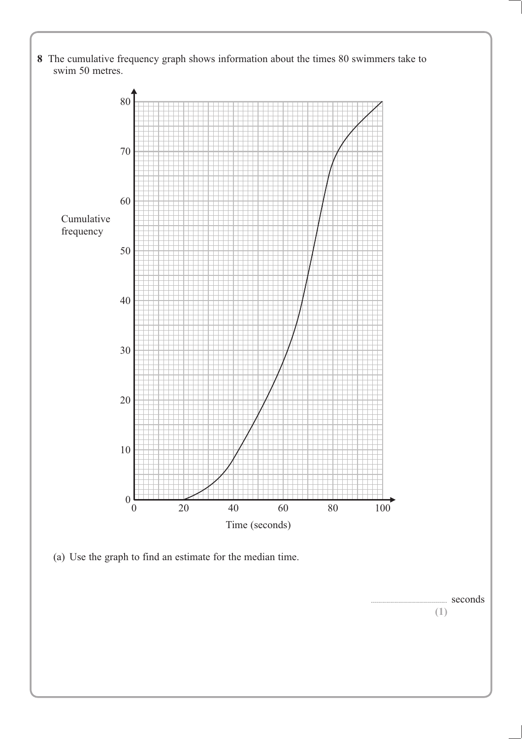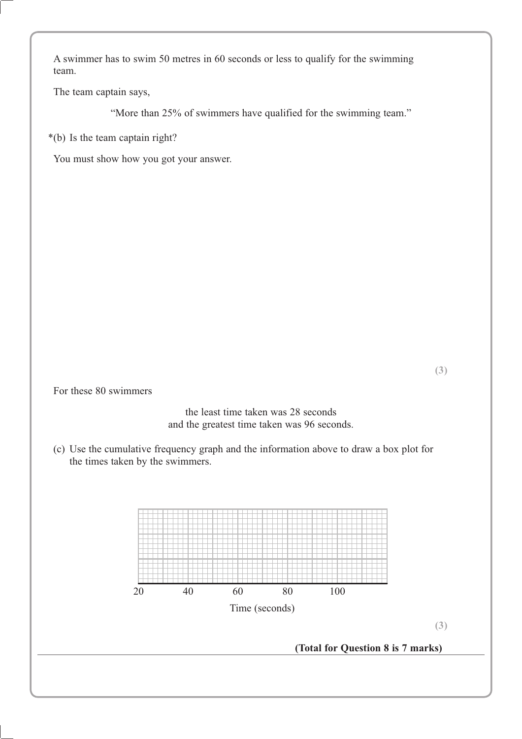A swimmer has to swim 50 metres in 60 seconds or less to qualify for the swimming team.

The team captain says,

"More than 25% of swimmers have qualified for the swimming team."

\*(b) Is the team captain right?

You must show how you got your answer.

For these 80 swimmers

the least time taken was 28 seconds and the greatest time taken was 96 seconds.

(c) Use the cumulative frequency graph and the information above to draw a box plot for the times taken by the swimmers.

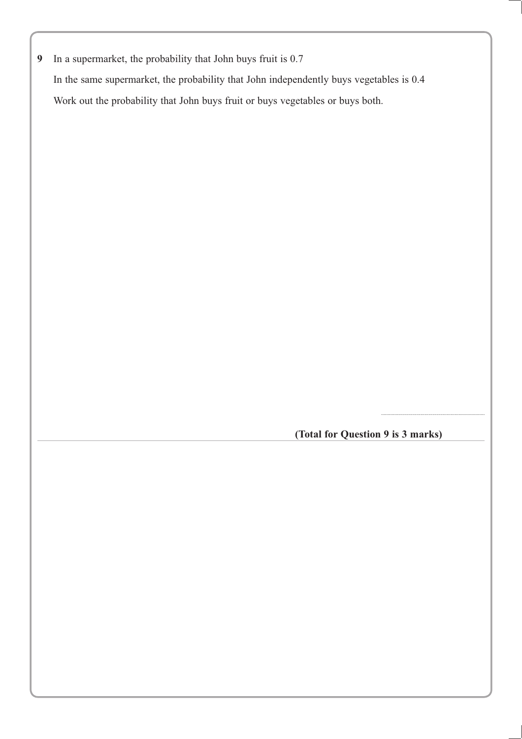**9** In a supermarket, the probability that John buys fruit is 0.7 In the same supermarket, the probability that John independently buys vegetables is 0.4 Work out the probability that John buys fruit or buys vegetables or buys both.

**(Total for Question 9 is 3 marks)**

...............................................................................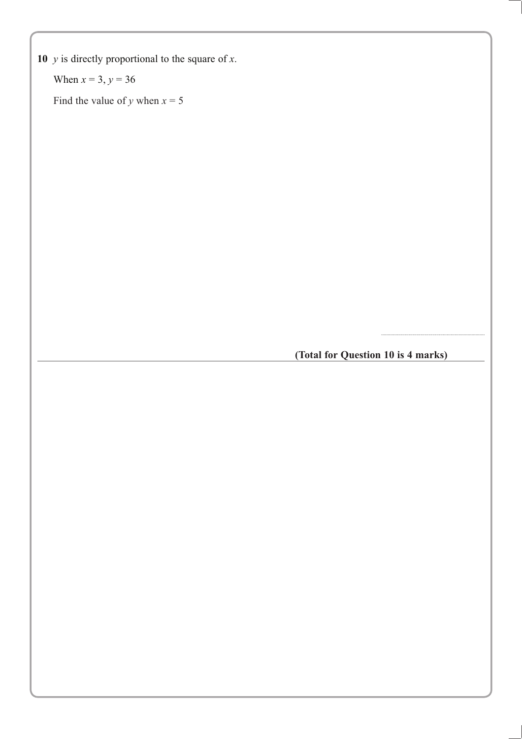When  $x = 3$ ,  $y = 36$ 

Find the value of *y* when  $x = 5$ 

**(Total for Question 10 is 4 marks)**

...............................................................................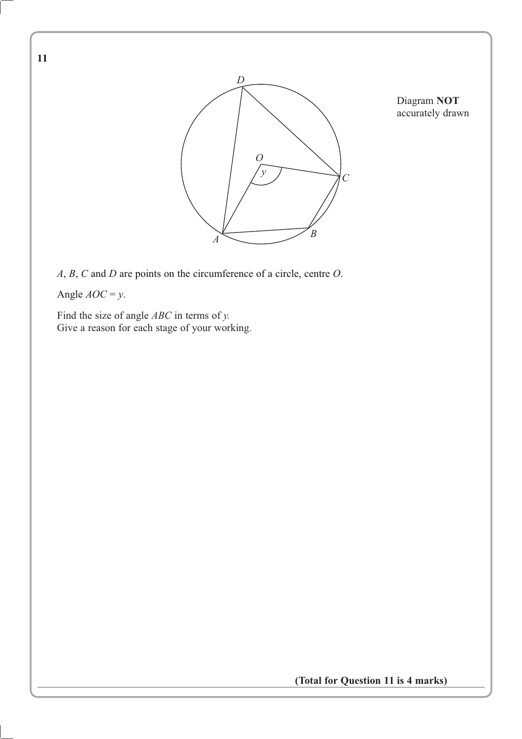

Diagram **NOT** accurately drawn

*A*, *B*, *C* and *D* are points on the circumference of a circle, centre *O*.

Angle  $AOC = y$ .

Find the size of angle *ABC* in terms of *y.* Give a reason for each stage of your working.

**(Total for Question 11 is 4 marks)**

**11**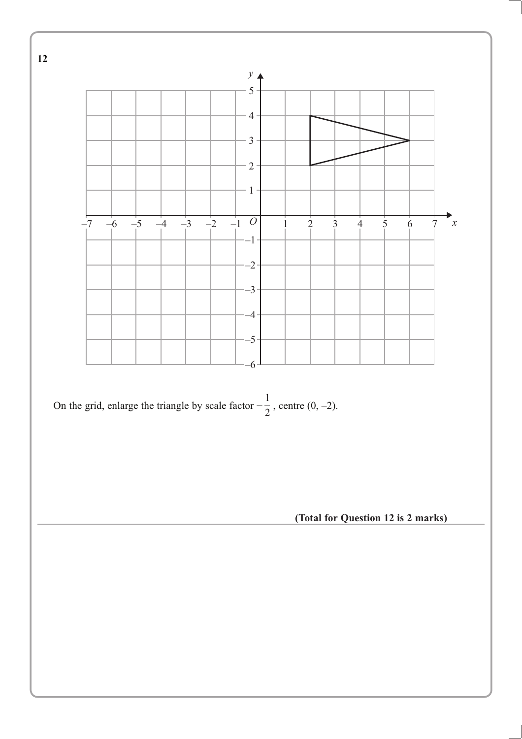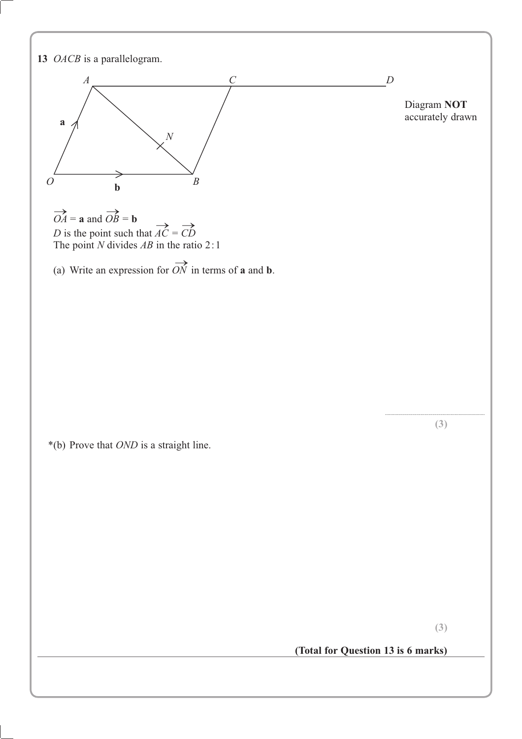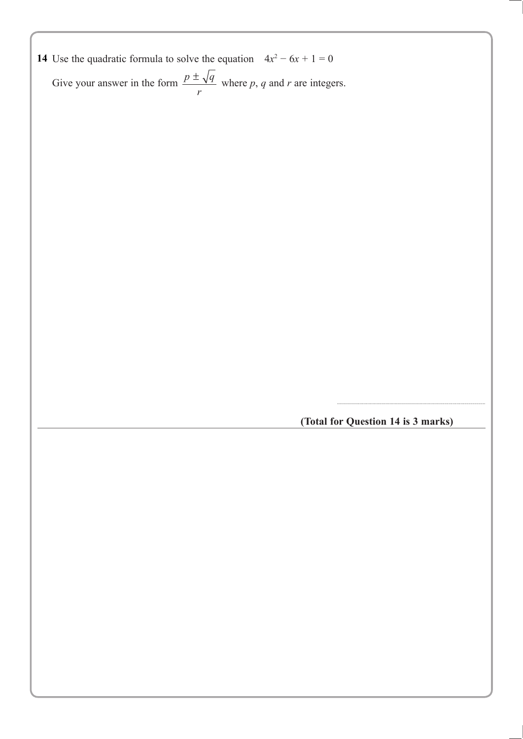| 14 Use the quadratic formula to solve the equation $4x^2 - 6x + 1 = 0$ |
|------------------------------------------------------------------------|
|------------------------------------------------------------------------|

Give your answer in the form  $\frac{p \pm \sqrt{q}}{r}$  where p, q and r are integers.

**(Total for Question 14 is 3 marks)**

.................................................................................................................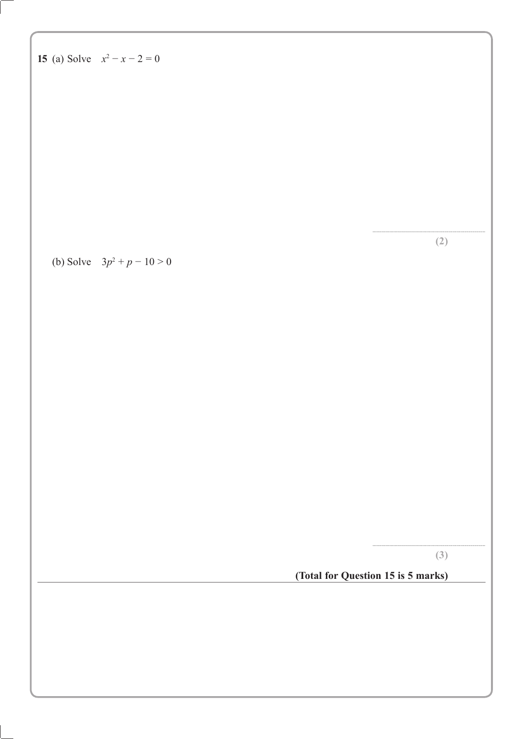| 15 (a) Solve $x^2 - x - 2 = 0$ |                                    |     |
|--------------------------------|------------------------------------|-----|
|                                |                                    |     |
|                                |                                    |     |
|                                |                                    |     |
|                                |                                    |     |
|                                |                                    |     |
| (b) Solve $3p^2 + p - 10 > 0$  |                                    | (2) |
|                                |                                    |     |
|                                |                                    |     |
|                                |                                    |     |
|                                |                                    |     |
|                                |                                    |     |
|                                |                                    |     |
|                                |                                    |     |
|                                |                                    |     |
|                                |                                    |     |
|                                | (Total for Question 15 is 5 marks) | (3) |
|                                |                                    |     |
|                                |                                    |     |
|                                |                                    |     |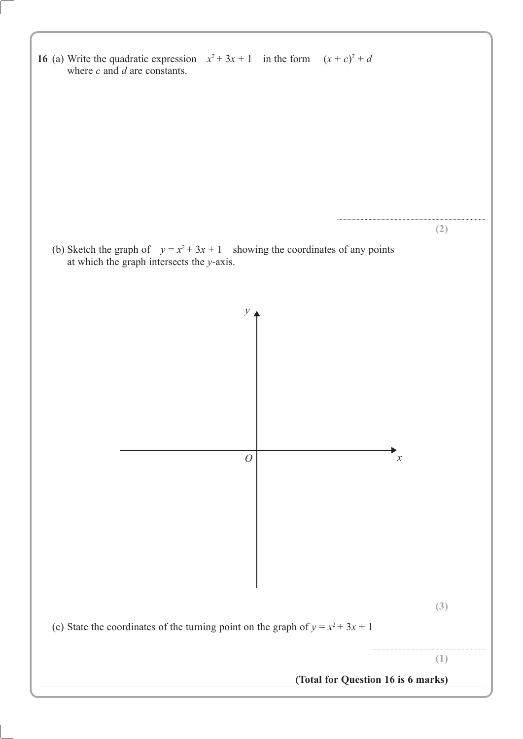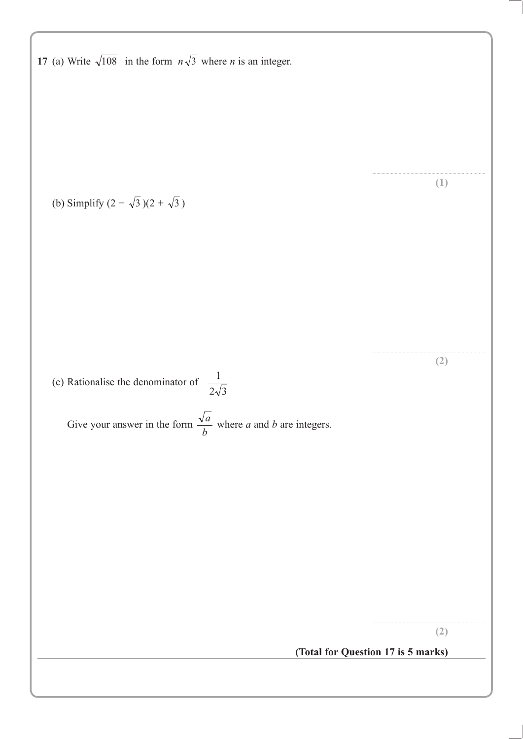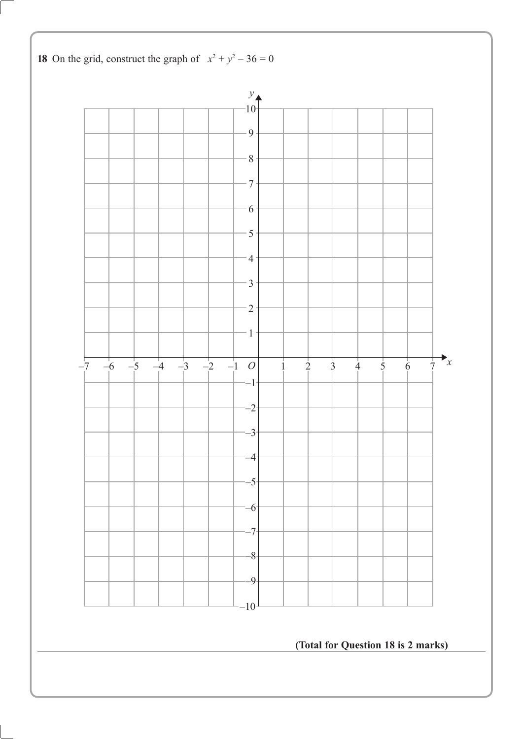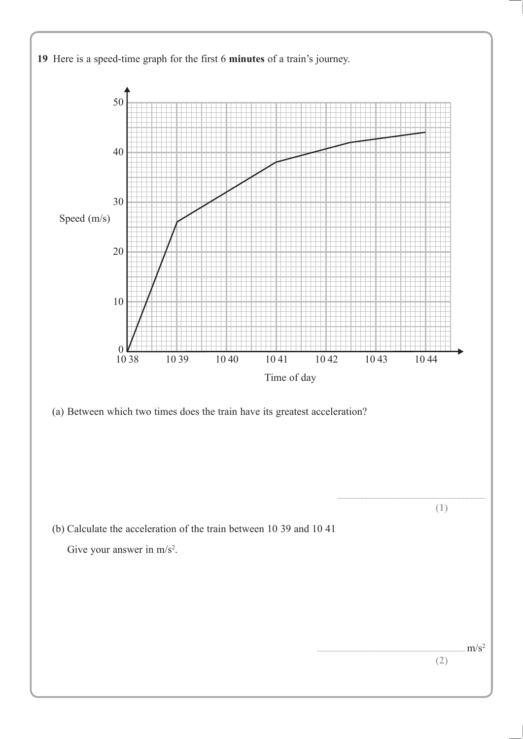